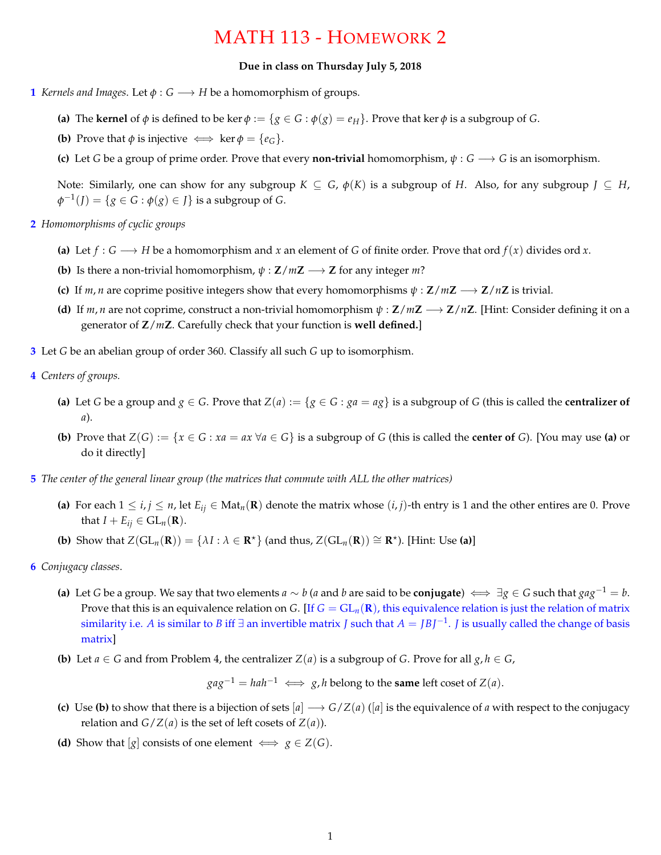## MATH 113 - HOMEWORK 2

## **Due in class on Thursday July 5, 2018**

- **1** *Kernels and Images.* Let  $\phi$  :  $G \rightarrow H$  be a homomorphism of groups.
	- **(a)** The **kernel** of  $\phi$  is defined to be ker  $\phi := \{ g \in G : \phi(g) = e_H \}$ . Prove that ker  $\phi$  is a subgroup of *G*.
	- **(b)** Prove that  $\phi$  is injective  $\iff$  ker  $\phi = \{e_G\}$ .
	- **(c)** Let *G* be a group of prime order. Prove that every **non-trivial** homomorphism,  $\psi$  :  $G \rightarrow G$  is an isomorphism.

Note: Similarly, one can show for any subgroup  $K \subseteq G$ ,  $\phi(K)$  is a subgroup of *H*. Also, for any subgroup  $J \subseteq H$ ,  $\phi^{-1}(J) = \{ g \in G : \phi(g) \in J \}$  is a subgroup of *G*.

- **2** *Homomorphisms of cyclic groups*
	- (a) Let  $f : G \longrightarrow H$  be a homomorphism and *x* an element of *G* of finite order. Prove that ord  $f(x)$  divides ord *x*.
	- **(b)** Is there a non-trivial homomorphism,  $\psi : \mathbb{Z}/m\mathbb{Z} \longrightarrow \mathbb{Z}$  for any integer *m*?
	- **(c)** If *m*, *n* are coprime positive integers show that every homomorphisms  $\psi : \mathbf{Z}/m\mathbf{Z} \longrightarrow \mathbf{Z}/n\mathbf{Z}$  is trivial.
	- **(d)** If  $m, n$  are not coprime, construct a non-trivial homomorphism  $\psi : \mathbb{Z}/m\mathbb{Z} \longrightarrow \mathbb{Z}/n\mathbb{Z}$ . [Hint: Consider defining it on a generator of **Z**/*m***Z**. Carefully check that your function is **well defined.**]
- **3** Let *G* be an abelian group of order 360. Classify all such *G* up to isomorphism.
- **4** *Centers of groups.*
	- (a) Let *G* be a group and  $g \in G$ . Prove that  $Z(a) := \{g \in G : ga = ag\}$  is a subgroup of *G* (this is called the **centralizer of** *a*).
	- (b) Prove that  $Z(G) := \{x \in G : xa = ax \,\forall a \in G\}$  is a subgroup of G (this is called the center of G). [You may use (a) or do it directly]
- **5** *The center of the general linear group (the matrices that commute with ALL the other matrices)*
	- (a) For each  $1 \le i, j \le n$ , let  $E_{ij} \in Mat_n(\mathbf{R})$  denote the matrix whose  $(i, j)$ -th entry is 1 and the other entires are 0. Prove that  $I + E_{ii} \in GL_n(\mathbf{R})$ .
	- **(b)** Show that  $Z(GL_n(\mathbf{R})) = \{ \lambda I : \lambda \in \mathbf{R}^* \}$  (and thus,  $Z(GL_n(\mathbf{R})) \cong \mathbf{R}^*$ ). [Hint: Use (a)]
- **6** *Conjugacy classes*.
	- (a) Let *G* be a group. We say that two elements  $a \sim b$  (*a* and *b* are said to be **conjugate**)  $\iff \exists g \in G$  such that  $gag^{-1} = b$ . Prove that this is an equivalence relation on *G*. [If  $G = GL_n(\mathbf{R})$ , this equivalence relation is just the relation of matrix similarity i.e. *A* is similar to *B* iff  $\exists$  an invertible matrix *J* such that  $A = JBJ^{-1}$ . *J* is usually called the change of basis matrix]
	- **(b)** Let  $a \in G$  and from Problem 4, the centralizer  $Z(a)$  is a subgroup of *G*. Prove for all  $g, h \in G$ ,

 $gag^{-1} = hah^{-1} \iff g, h$  belong to the **same** left coset of *Z*(*a*).

- **(c)** Use **(b)** to show that there is a bijection of sets  $[a] \rightarrow G/Z(a)$  ( $[a]$  is the equivalence of *a* with respect to the conjugacy relation and *G*/*Z*(*a*) is the set of left cosets of *Z*(*a*)).
- **(d)** Show that [*g*] consists of one element  $\iff$  *g*  $\in$  *Z*(*G*).